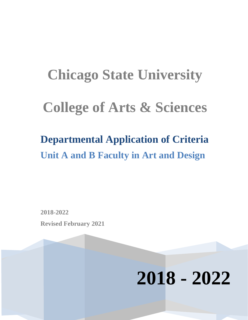# **Chicago State University College of Arts & Sciences**

## **Departmental Application of Criteria Unit A and B Faculty in Art and Design**

**2018-2022 Revised February 2021**

## **2018 - 2022**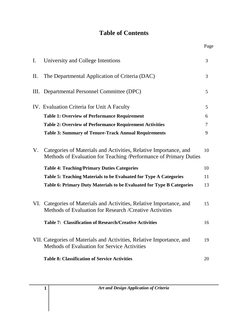## **Table of Contents**

Page

| $\mathbf{I}$ .  | University and College Intentions                                                                                                     | $\overline{3}$ |
|-----------------|---------------------------------------------------------------------------------------------------------------------------------------|----------------|
| $\mathbf{II}$ . | The Departmental Application of Criteria (DAC)                                                                                        | $\overline{3}$ |
|                 | III. Departmental Personnel Committee (DPC)                                                                                           | 5              |
|                 | IV. Evaluation Criteria for Unit A Faculty                                                                                            | 5              |
|                 | <b>Table 1: Overview of Performance Requirement</b>                                                                                   | 6              |
|                 | <b>Table 2: Overview of Performance Requirement Activities</b>                                                                        | 7              |
|                 | <b>Table 3: Summary of Tenure-Track Annual Requirements</b>                                                                           | 9              |
| V.              | Categories of Materials and Activities, Relative Importance, and<br>Methods of Evaluation for Teaching /Performance of Primary Duties | 10             |
|                 | <b>Table 4: Teaching/Primary Duties Categories</b>                                                                                    | 10             |
|                 | Table 5: Teaching Materials to be Evaluated for Type A Categories                                                                     | 11             |
|                 | Table 6: Primary Duty Materials to be Evaluated for Type B Categories                                                                 | 13             |
|                 | VI. Categories of Materials and Activities, Relative Importance, and<br>Methods of Evaluation for Research / Creative Activities      | 15             |
|                 | <b>Table 7: Classification of Research/Creative Activities</b>                                                                        | 16             |
|                 | VII. Categories of Materials and Activities, Relative Importance, and<br>Methods of Evaluation for Service Activities                 | 19             |
|                 | <b>Table 8: Classification of Service Activities</b>                                                                                  | 20             |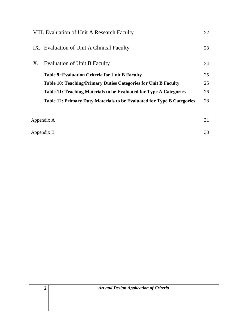|                  | VIII. Evaluation of Unit A Research Faculty                            | 22 |
|------------------|------------------------------------------------------------------------|----|
|                  | IX. Evaluation of Unit A Clinical Faculty                              | 23 |
| X.               | <b>Evaluation of Unit B Faculty</b>                                    | 24 |
|                  | Table 9: Evaluation Criteria for Unit B Faculty                        | 25 |
|                  | <b>Table 10: Teaching/Primary Duties Categories for Unit B Faculty</b> | 25 |
|                  | Table 11: Teaching Materials to be Evaluated for Type A Categories     | 26 |
|                  | Table 12: Primary Duty Materials to be Evaluated for Type B Categories | 28 |
|                  |                                                                        |    |
|                  | Appendix A                                                             | 31 |
| 33<br>Appendix B |                                                                        |    |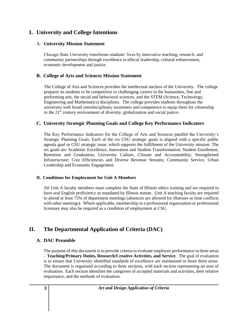## **I. University and College Intentions**

## A. **University Mission Statement**

Chicago State University transforms students' lives by innovative teaching, research, and community partnerships through excellence in ethical leadership, cultural enhancement, economic development and justice.

## **B. College of Arts and Sciences Mission Statement**

 The College of Arts and Sciences provides the intellectual nucleus of the University. The college prepares its students to be competitive in challenging careers in the humanities, fine and performing arts, the social and behavioral sciences, and the STEM (Science, Technology, Engineering and Mathematics) disciplines. The college provides students throughout the university with broad interdisciplinary awareness and competence to equip them for citizenship in the  $21<sup>st</sup>$  century environment of diversity, globalization and social justice.

## **C. University Strategic Planning Goals and College Key Performance Indicators**

The Key Performance Indicators for the College of Arts and Sciences parallel the University's Strategic Planning Goals. Each of the six CSU strategic goals is aligned with a specific public agenda goal or CSU strategic issue, which supports the fulfillment of the University mission. The six goals are Academic Excellence, Innovation and Student Transformation; Student Enrollment, Retention and Graduation; University Culture, Climate and Accountability; Strengthened Infrastructure; Cost Efficiencies and Diverse Revenue Streams; Community Service, Urban Leadership and Economic Engagement.

## **D. Conditions for Employment for Unit A Members**

All Unit A faculty members must complete the State of Illinois ethics training and are required to have oral English proficiency as mandated by Illinois statute. Unit A teaching faculty are required to attend at least 75% of department meetings (absences are allowed for illnesses or time conflicts with other meetings). Where applicable, membership in a professional organization or professional licensure may also be required as a condition of employment at CSU.

## **II. The Departmental Application of Criteria (DAC)**

## **A. DAC Preamble**

The purpose of this document is to provide criteria to evaluate employee performance in three areas – **Teaching/Primary Duties, Research/Creative Activities, and Service**. The goal of evaluation is to ensure that University identified standards of excellence are maintained in those three areas. The document is organized according to three sections, with each section representing an area of evaluation. Each section identifies the categories of accepted materials and activities, their relative importance, and the methods of evaluation.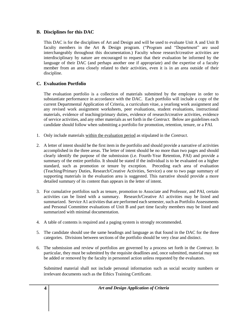## **B. Disciplines for this DAC**

This DAC is for the disciplines of Art and Design and will be used to evaluate Unit A and Unit B faculty members in the Art & Design program. ("Program and "Department" are used interchangeably throughout this documentation.) Faculty whose research/creative activities are interdisciplinary by nature are encouraged to request that their evaluation be informed by the language of their DAC (and perhaps another one if appropriate) and the expertise of a faculty member from an area closely related to their activities, even it is in an area outside of their discipline.

## **C. Evaluation Portfolio**

The evaluation portfolio is a collection of materials submitted by the employee in order to substantiate performance in accordance with the DAC. Each portfolio will include a copy of the current Departmental Application of Criteria, a curriculum vitae, a yearlong work assignment and any revised work assignment worksheets, peer evaluations, student evaluations, instructional materials, evidence of teaching/primary duties, evidence of research/creative activities, evidence of service activities, and any other materials as set forth in the *Contract.* Below are guidelines each candidate should follow when submitting a portfolio for promotion, retention, tenure, or a PAI.

- 1. Only include materials within the evaluation period as stipulated in the *Contract*.
- 2. A letter of intent should be the first item in the portfolio and should provide a narrative of activities accomplished in the three areas. The letter of intent should be no more than two pages and should clearly identify the purpose of the submission (i.e. Fourth-Year Retention, PAI) and provide a summary of the entire portfolio. It should be stated if the individual is to be evaluated on a higher standard, such as promotion or tenure by exception. Preceding each area of evaluation (Teaching/Primary Duties, Research/Creative Activities, Service) a one to two page summary of supporting materials in the evaluation area is suggested. This narrative should provide a more detailed summary of its content than appears in the letter of intent.
- 3. For cumulative portfolios such as tenure, promotion to Associate and Professor, and PAI, certain activities can be listed with a summary. Research/Creative A1 activities may be listed and summarized. Service A1 activities that are performed each semester, such as Portfolio Assessments and Personal Committee evaluations of Unit B and part time faculty members may be listed and summarized with minimal documentation.
- 4. A table of contents is required and a paging system is strongly recommended.
- 5. The candidate should use the same headings and language as that found in the DAC for the three categories. Divisions between sections of the portfolio should be very clear and distinct.
- 6. The submission and review of portfolios are governed by a process set forth in the *Contract*. In particular, they must be submitted by the requisite deadlines and, once submitted, material may not be added or removed by the faculty in personnel action unless requested by the evaluators.

Submitted material shall not include personal information such as social security numbers or irrelevant documents such as the Ethics Training Certificate.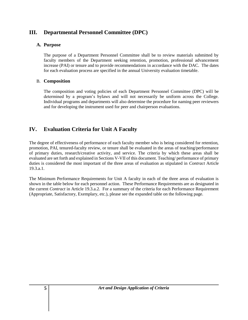## **III. Departmental Personnel Committee (DPC)**

## **A. Purpose**

The purpose of a Department Personnel Committee shall be to review materials submitted by faculty members of the Department seeking retention, promotion, professional advancement increase (PAI) or tenure and to provide recommendations in accordance with the DAC. The dates for each evaluation process are specified in the annual University evaluation timetable.

## B. **Composition**

The composition and voting policies of each Department Personnel Committee (DPC) will be determined by a program's bylaws and will not necessarily be uniform across the College. Individual programs and departments will also determine the procedure for naming peer reviewers and for developing the instrument used for peer and chairperson evaluations.

## **IV. Evaluation Criteria for Unit A Faculty**

The degree of effectiveness of performance of each faculty member who is being considered for retention, promotion, PAI, tenured-faculty review, or tenure shall be evaluated in the areas of teaching/performance of primary duties, research/creative activity, and service. The criteria by which these areas shall be evaluated are set forth and explained in Sections V-VII of this document. Teaching/ performance of primary duties is considered the most important of the three areas of evaluation as stipulated in *Contract* Article 19.3.a.1.

The Minimum Performance Requirements for Unit A faculty in each of the three areas of evaluation is shown in the table below for each personnel action. These Performance Requirements are as designated in the current *Contract* in Article 19.3.a.2. For a summary of the criteria for each Performance Requirement (Appropriate, Satisfactory, Exemplary, etc.), please see the expanded table on the following page.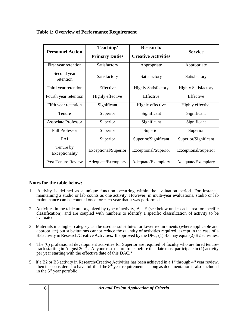| <b>Personnel Action</b>     | Teaching/<br><b>Primary Duties</b> | Research/<br><b>Creative Activities</b> | <b>Service</b>             |
|-----------------------------|------------------------------------|-----------------------------------------|----------------------------|
| First year retention        | Satisfactory                       | Appropriate                             | Appropriate                |
| Second year<br>retention    | Satisfactory                       | Satisfactory                            | Satisfactory               |
| Third year retention        | Effective                          | <b>Highly Satisfactory</b>              | <b>Highly Satisfactory</b> |
| Fourth year retention       | Highly effective                   | Effective                               | Effective                  |
| Fifth year retention        | Significant                        | Highly effective                        | Highly effective           |
| Tenure                      | Superior                           | Significant                             | Significant                |
| <b>Associate Professor</b>  | Superior                           | Significant                             | Significant                |
| <b>Full Professor</b>       | Superior                           | Superior                                | Superior                   |
| PAI                         | Superior                           | Superior/Significant                    | Superior/Significant       |
| Tenure by<br>Exceptionality | Exceptional/Superior               | Exceptional/Superior                    | Exceptional/Superior       |
| <b>Post-Tenure Review</b>   | Adequate/Exemplary                 | Adequate/Exemplary                      | Adequate/Exemplary         |

## **Table 1: Overview of Performance Requirement**

## **Notes for the table below:**

- 1. Activity is defined as a unique function occurring within the evaluation period. For instance, maintaining a studio or lab counts as one activity. However, in multi-year evaluations, studio or lab maintenance can be counted once for each year that it was performed.
- 2. Activities in the table are organized by type of activity,  $A E$  (see below under each area for specific classification), and are coupled with numbers to identify a specific classification of activity to be evaluated.
- 3. Materials in a higher category can be used as substitutes for lower requirements (where applicable and appropriate) but substitutions cannot reduce the quantity of activities required, except in the case of a  $\hat{B}3$  activity in Research/Creative Activities. If approved by the DPC, (1)  $\hat{B}3$  may equal (2) B2 activities.
- 4. The (6) professional development activities for Superior are required of faculty who are hired tenuretrack starting in August 2021. Anyone else tenure-track before that date must participate in (1) activity per year starting with the effective date of this DAC.\*
- 5. If a B2 or B3 activity in Research/Creative Activities has been achieved in a 1<sup>st</sup> through 4<sup>th</sup> year review, then it is considered to have fulfilled the  $5<sup>th</sup>$  year requirement, as long as documentation is also included in the  $5<sup>th</sup>$  year portfolio.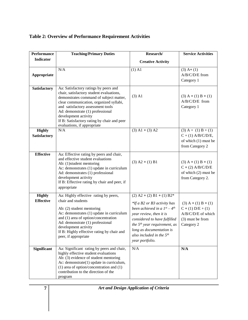## **Table 2: Overview of Performance Requirement Activities**

| <b>Performance</b>                   | <b>Teaching/Primary Duties</b>                                                                                                                                                                                                                                                                                                                         | Research/                                                                                                                                                                                                                                                                    | <b>Service Activities</b>                                                                            |
|--------------------------------------|--------------------------------------------------------------------------------------------------------------------------------------------------------------------------------------------------------------------------------------------------------------------------------------------------------------------------------------------------------|------------------------------------------------------------------------------------------------------------------------------------------------------------------------------------------------------------------------------------------------------------------------------|------------------------------------------------------------------------------------------------------|
| <b>Indicator</b>                     |                                                                                                                                                                                                                                                                                                                                                        | <b>Creative Activity</b>                                                                                                                                                                                                                                                     |                                                                                                      |
| Appropriate                          | N/A                                                                                                                                                                                                                                                                                                                                                    | $(1)$ A1                                                                                                                                                                                                                                                                     | $(3)$ A+ $(1)$<br>A/B/C/D/E from<br>Category 1                                                       |
| <b>Satisfactory</b>                  | Aa: Satisfactory ratings by peers and<br>chair, satisfactory student evaluations,<br>demonstrates command of subject matter,<br>clear communication, organized syllabi,<br>and satisfactory assessment tools<br>Ad: demonstrate (1) professional<br>development activity<br>If B: Satisfactory rating by chair and peer<br>evaluations, if appropriate | $(3)$ A1                                                                                                                                                                                                                                                                     | $(3)$ A + (1) B + (1)<br>A/B/C/D/E from<br>Category 1                                                |
| <b>Highly</b><br><b>Satisfactory</b> | N/A                                                                                                                                                                                                                                                                                                                                                    | $(3)$ A1 + $(3)$ A2                                                                                                                                                                                                                                                          | $(3) A + (1) B + (1)$<br>$C + (1)$ A/B/C/D/E,<br>of which (1) must be<br>from Category 2             |
| <b>Effective</b>                     | Aa: Effective rating by peers and chair,<br>and effective student evaluations<br>Ab: (1) student mentoring<br>Ac: demonstrates (1) update in curriculum<br>Ad: demonstrates (1) professional<br>development activity<br>If B: Effective rating by chair and peer, if<br>appropriate                                                                    | $(3)$ A2 + (1) B1                                                                                                                                                                                                                                                            | $(3)$ A + (1) B + (1)<br>$C + (2) A/B/C/D/E$<br>of which (2) must be<br>from Category 2.             |
| <b>Highly</b><br><b>Effective</b>    | Aa: Highly effective rating by peers,<br>chair and students<br>Ab: (2) student mentoring<br>Ac: demonstrates (1) update in curriculum<br>and (1) area of option/concentration<br>Ad: demonstrate (1) professional<br>development activity<br>If B: Highly effective rating by chair and<br>peer, if appropriate                                        | $(2)$ A2 + (2) B1 + (1) B2*<br>*If a B2 or B3 activity has<br>been achieved in a $1^{st} - 4^{th}$<br>year review, then it is<br>considered to have fulfilled<br>the $5th$ year requirement, as<br>long as documentation is<br>also included in the $5th$<br>year portfolio. | $(3)$ A + (1) B + (1)<br>$C + (1) D/E + (1)$<br>A/B/C/D/E of which<br>(3) must be from<br>Category 2 |
| <b>Significant</b>                   | Aa: Significant rating by peers and chair,<br>highly effective student evaluations<br>Ab: (3) evidence of student mentoring<br>Ac: demonstrate(1) update in curriculum,<br>(1) area of option/concentration and (1)<br>contribution to the direction of the<br>program                                                                                 | N/A                                                                                                                                                                                                                                                                          | N/A                                                                                                  |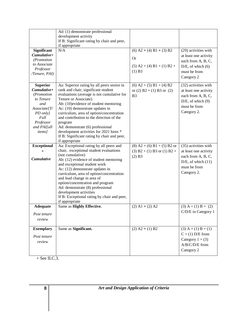| <b>Adequate</b><br>Post tenure                                                                                                                     | option/concentration and program<br>Ad: demonstrate (8) professional<br>development activities<br>If B: Exceptional rating by chair and peer,<br>if appropriate<br>Same as Highly Effective.                                                                                                                                                                                                                                                                          | $(2)$ A1 + $(2)$ A2                                                                             | $(3) A + (1) B + (2)$<br>C/D/E in Category 1                                                                                  |
|----------------------------------------------------------------------------------------------------------------------------------------------------|-----------------------------------------------------------------------------------------------------------------------------------------------------------------------------------------------------------------------------------------------------------------------------------------------------------------------------------------------------------------------------------------------------------------------------------------------------------------------|-------------------------------------------------------------------------------------------------|-------------------------------------------------------------------------------------------------------------------------------|
| <b>Exceptional</b><br>$+$<br>Cumulative                                                                                                            | if appropriate<br>Aa: Exceptional rating by all peers and<br>chair, exceptional student evaluations<br>(not cumulative)<br>Ab: (12) evidence of student mentoring<br>and exceptional student work<br>Ac: (12) demonstrate updates in<br>curriculum, area of option/concentration<br>and lead change in area of                                                                                                                                                        | $(8)$ A2 + (6) B1 + (5) B2 or<br>$(3) B2 + (1) B3$ or $(1) B2 +$<br>$(2)$ B <sub>3</sub>        | (35) activities with<br>at least one activity<br>each from A, B, C,<br>$D/E$ , of which $(11)$<br>must be from<br>Category 2. |
| <b>Superior</b><br>$Cumulative+$<br>(Promotion<br>to Tenure<br>and<br>Associate[T/<br>PD only]<br>Full<br>Professor<br>and PAI[all<br><i>items</i> | Aa: Superior rating by all peers senior in<br>rank and chair, significant student<br>evaluations (average is not cumulative for<br>Tenure or Associate)<br>Ab: (10) evidence of student mentoring<br>Ac: (10) demonstrate updates in<br>curriculum, area of option/concentration<br>and contribution to the direction of the<br>program<br>Ad: demonstrate (6) professional<br>development activities for 2021 hires *<br>If B: Significant rating by chair and peer, | (6) $A2 + (5) B1 + (4) B2$<br>or (2) $B2 + (1) B3$ or (2)<br>B <sub>3</sub>                     | (32) activities with<br>at least one activity<br>each from A, B, C,<br>$D/E$ , of which $(9)$<br>must be from<br>Category 2.  |
| <b>Significant</b><br>$Cumulative+$<br>(Promotion<br>to Associate<br>Professor<br>/Tenure, PAI)                                                    | N/A                                                                                                                                                                                                                                                                                                                                                                                                                                                                   | $(6)$ A2 + (4) B1 + (3) B2<br><b>Or</b><br>$(5)$ A2 + (4) B1 + (1) B2 +<br>$(1)$ B <sub>3</sub> | (29) activities with<br>at least one activity<br>each from A, B, C,<br>$D/E$ , of which $(6)$<br>must be from<br>Category 2   |
|                                                                                                                                                    | Ad: (1) demonstrate professional<br>development activity<br>If B: Significant rating by chair and peer,<br>if appropriate                                                                                                                                                                                                                                                                                                                                             |                                                                                                 |                                                                                                                               |

 $+$  See II.C.3.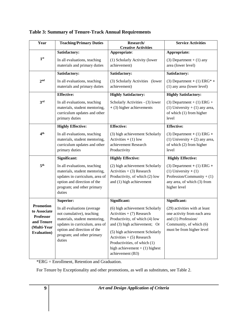| Year                                                                                                     | <b>Teaching/Primary Duties</b>                                                                                                                                                                     | Research/<br><b>Creative Activities</b>                                                                                                                                                                                                                                                  | <b>Service Activities</b>                                                                                                                   |
|----------------------------------------------------------------------------------------------------------|----------------------------------------------------------------------------------------------------------------------------------------------------------------------------------------------------|------------------------------------------------------------------------------------------------------------------------------------------------------------------------------------------------------------------------------------------------------------------------------------------|---------------------------------------------------------------------------------------------------------------------------------------------|
|                                                                                                          | Satisfactory:                                                                                                                                                                                      | Appropriate:                                                                                                                                                                                                                                                                             | Appropriate:                                                                                                                                |
| 1 <sup>st</sup>                                                                                          | In all evaluations, teaching<br>materials and primary duties                                                                                                                                       | (1) Scholarly Activity (lower<br>achievement)                                                                                                                                                                                                                                            | $(3)$ Department + $(1)$ any<br>area (lower level)                                                                                          |
|                                                                                                          | Satisfactory:                                                                                                                                                                                      | Satisfactory:                                                                                                                                                                                                                                                                            | Satisfactory:                                                                                                                               |
| 2 <sup>nd</sup>                                                                                          | In all evaluations, teaching<br>materials and primary duties                                                                                                                                       | (3) Scholarly Activities (lower<br>achievement)                                                                                                                                                                                                                                          | $(3)$ Department + $(1)$ ERG <sup>*</sup> +<br>(1) any area (lower level)                                                                   |
|                                                                                                          | <b>Effective:</b>                                                                                                                                                                                  | <b>Highly Satisfactory:</b>                                                                                                                                                                                                                                                              | <b>Highly Satisfactory:</b>                                                                                                                 |
| 3 <sup>rd</sup>                                                                                          | In all evaluations, teaching<br>materials, student mentoring,<br>curriculum updates and other<br>primary duties                                                                                    | Scholarly Activities - (3) lower<br>$+$ (3) higher achievements                                                                                                                                                                                                                          | $(3)$ Department + $(1)$ ERG +<br>(1) University $+$ (1) any area,<br>of which (1) from higher<br>level                                     |
|                                                                                                          | <b>Highly Effective:</b>                                                                                                                                                                           | <b>Effective:</b>                                                                                                                                                                                                                                                                        | <b>Effective:</b>                                                                                                                           |
| 4 <sup>th</sup>                                                                                          | In all evaluations, teaching<br>materials, student mentoring,<br>curriculum updates and other<br>primary duties                                                                                    | (3) high achievement Scholarly<br>Activities $+ (1)$ low<br>achievement Research<br>Productivity                                                                                                                                                                                         | $(3)$ Department + $(1)$ ERG +<br>(1) University $+$ (2) any area,<br>of which (2) from higher<br>level                                     |
|                                                                                                          | Significant:                                                                                                                                                                                       | <b>Highly Effective:</b>                                                                                                                                                                                                                                                                 | <b>Highly Effective:</b>                                                                                                                    |
| 5 <sup>th</sup>                                                                                          | In all evaluations, teaching<br>materials, student mentoring,<br>updates in curriculum, area of<br>option and direction of the<br>program; and other primary<br>duties                             | (2) high achievement Scholarly<br>Activities $+$ (3) Research<br>Productivity, of which (2) low<br>and (1) high achievement                                                                                                                                                              | $(3)$ Department + $(1)$ ERG +<br>$(1)$ University + $(1)$<br>Profession/Community + $(1)$<br>any area, of which (3) from<br>higher level   |
|                                                                                                          | <b>Superior:</b>                                                                                                                                                                                   | Significant:                                                                                                                                                                                                                                                                             | Significant:                                                                                                                                |
| <b>Promotion</b><br>to Associate<br><b>Professor</b><br>and Tenure<br>(Multi-Year<br><b>Evaluation</b> ) | In all evaluations (average<br>not cumulative), teaching<br>materials, student mentoring,<br>updates in curriculum, area of<br>option and direction of the<br>program; and other primary<br>duties | (6) high achievement Scholarly<br>Activities $+$ (7) Research<br>Productivity, of which (4) low<br>and (3) high achievement; Or<br>(5) high achievement Scholarly<br>Activities $+$ (5) Research<br>Productivities, of which (1)<br>high achievement $+$ (1) highest<br>achievement (B3) | (29) activities with at least<br>one activity from each area<br>and (1) Profession/<br>Community, of which (6)<br>must be from higher level |

**Table 3: Summary of Tenure-Track Annual Requirements**

\*ERG = Enrollment, Retention and Graduation.

For Tenure by Exceptionality and other promotions, as well as substitutes, see Table 2.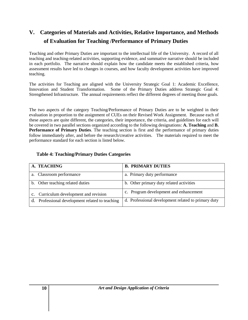## **V. Categories of Materials and Activities, Relative Importance, and Methods of Evaluation for Teaching /Performance of Primary Duties**

Teaching and other Primary Duties are important to the intellectual life of the University. A record of all teaching and teaching-related activities, supporting evidence, and summative narrative should be included in each portfolio. The narrative should explain how the candidate meets the established criteria, how assessment results have led to changes in courses, and how faculty development activities have improved teaching.

The activities for Teaching are aligned with the University Strategic Goal 1: Academic Excellence, Innovation and Student Transformation. Some of the Primary Duties address Strategic Goal 4: Strengthened Infrastructure. The annual requirements reflect the different degrees of meeting those goals.

The two aspects of the category Teaching/Performance of Primary Duties are to be weighted in their evaluation in proportion to the assignment of CUEs on their Revised Work Assignment. Because each of these aspects are quite different, the categories, their importance, the criteria, and guidelines for each will be covered in two parallel sections organized according to the following designations: **A. Teaching** and **B. Performance of Primary Duties**. The teaching section is first and the performance of primary duties follow immediately after, and before the research/creative activities. The materials required to meet the performance standard for each section is listed below.

| A. TEACHING                                     | <b>B. PRIMARY DUTIES</b>                            |
|-------------------------------------------------|-----------------------------------------------------|
| a. Classroom performance                        | a. Primary duty performance                         |
| b. Other teaching related duties                | b. Other primary duty related activities            |
| c. Curriculum development and revision          | c. Program development and enhancement              |
| d. Professional development related to teaching | d. Professional development related to primary duty |

## **Table 4: Teaching/Primary Duties Categories**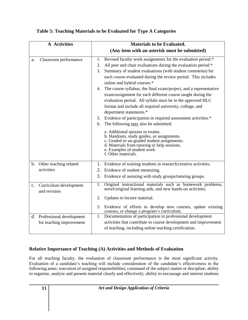| <b>A</b> Activities                                      | <b>Materials to be Evaluated.</b>                                                                                                                                                                                                                                                                                                                                                                                                                                                                                                                                                                                                                                                                                                                                                                                                                                                                                                             |
|----------------------------------------------------------|-----------------------------------------------------------------------------------------------------------------------------------------------------------------------------------------------------------------------------------------------------------------------------------------------------------------------------------------------------------------------------------------------------------------------------------------------------------------------------------------------------------------------------------------------------------------------------------------------------------------------------------------------------------------------------------------------------------------------------------------------------------------------------------------------------------------------------------------------------------------------------------------------------------------------------------------------|
|                                                          | (Any item with an asterisk must be submitted)                                                                                                                                                                                                                                                                                                                                                                                                                                                                                                                                                                                                                                                                                                                                                                                                                                                                                                 |
| Classroom performance<br>a.                              | Revised faculty work assignments for the evaluation period.*<br>1.<br>All peer and chair evaluations during the evaluation period.*<br>2.<br>Summary of student evaluations (with student comments) for<br>3.<br>each course evaluated during the review period. This includes<br>online and hybrid courses.*<br>The course syllabus, the final exam/project, and a representative<br>4.<br>exam/assignment for each different course taught during the<br>evaluation period. All syllabi must be in the approved HLC<br>format and include all required university, college, and<br>department statements.*<br>5. Evidence of participation in required assessment activities.*<br>The following may also be submitted:<br>6.<br>a. Additional quizzes or exams.<br>b. Handouts, study guides, or assignments.<br>c. Graded or un-graded student assignments.<br>d. Materials from tutoring or help sessions.<br>e. Examples of student work |
|                                                          | f. Other materials.                                                                                                                                                                                                                                                                                                                                                                                                                                                                                                                                                                                                                                                                                                                                                                                                                                                                                                                           |
| b. Other teaching related<br>activities                  | 1. Evidence of training students in research/creative activities.<br>2. Evidence of student mentoring.<br>3. Evidence of assisting with study groups/tutoring groups.                                                                                                                                                                                                                                                                                                                                                                                                                                                                                                                                                                                                                                                                                                                                                                         |
| Curriculum development<br>$\mathbf{c}$ .<br>and revision | Original instructional materials such as homework problems,<br>$\overline{1}$ .<br>novel/original learning aids, and new hands-on activities.<br>2.<br>Updates to lecture material.<br>3. Evidence of efforts to develop new courses, update existing                                                                                                                                                                                                                                                                                                                                                                                                                                                                                                                                                                                                                                                                                         |
| d. Professional development<br>for teaching improvement  | courses, or change a program's curriculum.<br>Documentation of participation in professional development<br>1.<br>activities that contribute to course development and improvement<br>of teaching, including online teaching certification.                                                                                                                                                                                                                                                                                                                                                                                                                                                                                                                                                                                                                                                                                                   |

## **Table 5: Teaching Materials to be Evaluated for Type A Categories**

## **Relative Importance of Teaching (A) Activities and Methods of Evaluation**

For all teaching faculty, the evaluation of classroom performance is the most significant activity. Evaluation of a candidate's teaching will include consideration of the candidate's effectiveness in the following areas: execution of assigned responsibilities; command of the subject matter or discipline; ability to organize, analyze and present material clearly and effectively; ability to encourage and interest students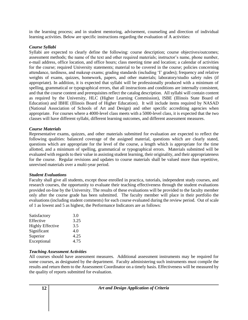in the learning process; and in student mentoring, advisement, counseling and direction of individual learning activities. Below are specific instructions regarding the evaluation of A activities:

#### *Course Syllabi*

Syllabi are expected to clearly define the following: course description; course objectives/outcomes; assessment methods; the name of the text and other required materials; instructor's name, phone number, e-mail address, office location, and office hours; class meeting time and location; a calendar of activities for the course; required University statements; material to be covered in the course; policies concerning attendance, tardiness, and makeup exams; grading standards (including 'I' grades); frequency and relative weights of exams, quizzes, homework, papers, and other materials; laboratory/studio safety rules (if appropriate). In addition, it is expected that syllabi will be professionally produced with a minimum of spelling, grammatical or typographical errors, that all instructions and conditions are internally consistent, and that the course content and prerequisites reflect the catalog description. All syllabi will contain content as required by the University, HLC (Higher Learning Commission), ISBE (Illinois State Board of Education) and IBHE (Illinois Board of Higher Education). It will include items required by NASAD (National Association of Schools of Art and Design) and other specific accrediting agencies when appropriate. For courses where a 4000-level class meets with a 5000-level class, it is expected that the two classes will have different syllabi, different learning outcomes, and different assessment measures.

#### *Course Materials*

Representative exams, quizzes, and other materials submitted for evaluation are expected to reflect the following qualities: balanced coverage of the assigned material, questions which are clearly stated, questions which are appropriate for the level of the course, a length which is appropriate for the time allotted, and a minimum of spelling, grammatical or typographical errors. Materials submitted will be evaluated with regards to their value in assisting student learning, their originality, and their appropriateness for the course. Regular revisions and updates to course materials shall be valued more than repetitive, unrevised materials over a multi-year period.

#### *Student Evaluations*

Faculty shall give all students, except those enrolled in practica, tutorials, independent study courses, and research courses, the opportunity to evaluate their teaching effectiveness through the student evaluations provided on-line by the University. The results of these evaluations will be provided to the faculty member only after the course grade has been submitted. The faculty member will place in their portfolio the evaluations (including student comments) for each course evaluated during the review period. Out of scale of 1 as lowest and 5 as highest, the Performance Indicators are as follows:

| Satisfactory            | 3.0  |
|-------------------------|------|
| Effective               | 3.25 |
| <b>Highly Effective</b> | 3.5  |
| Significant             | 4.0  |
| Superior                | 4.25 |
| Exceptional             | 4.75 |

#### *Teaching Assessment Activities*

All courses should have assessment measures. Additional assessment instruments may be required for some courses, as designated by the department. Faculty administering such instruments must compile the results and return them to the Assessment Coordinator on a timely basis. Effectiveness will be measured by the quality of reports submitted for evaluation.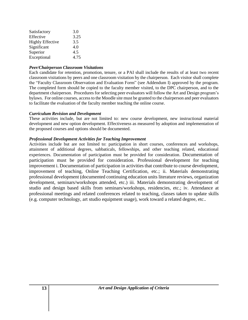| Satisfactory            | 3.0  |
|-------------------------|------|
| Effective               | 3.25 |
| <b>Highly Effective</b> | 3.5  |
| Significant             | 4.0  |
| Superior                | 4.5  |
| Exceptional             | 4.75 |

#### *Peer/Chairperson Classroom Visitations*

Each candidate for retention, promotion, tenure, or a PAI shall include the results of at least two recent classroom visitations by peers and one classroom visitation by the chairperson. Each visitor shall complete the "Faculty Classroom Observation and Evaluation Form" (see Addendum I) approved by the program. The completed form should be copied to the faculty member visited, to the DPC chairperson, and to the department chairperson. Procedures for selecting peer evaluators will follow the Art and Design program's bylaws. For online courses, access to the Moodle site must be granted to the chairperson and peer evaluators to facilitate the evaluation of the faculty member teaching the online course.

#### *Curriculum Revision and Development*

These activities include, but are not limited to: new course development, new instructional material development and new option development. Effectiveness as measured by adoption and implementation of the proposed courses and options should be documented.

#### *Professional Development Activities for Teaching Improvement*

Activities include but are not limited to: participation in short courses, conferences and workshops, attainment of additional degrees, sabbaticals, fellowships, and other teaching related, educational experiences. Documentation of participation must be provided for consideration. Documentation of participation must be provided for consideration. Professional development for teaching improvement i. Documentation of participation in activities that contribute to course development, improvement of teaching, Online Teaching Certification, etc.; ii. Materials demonstrating professional development (documented continuing education units literature reviews, organization development, seminars/workshops attended, etc.) iii. Materials demonstrating development of studio and design based skills from seminars/workshops, residencies, etc.; iv. Attendance at professional meetings and related conferences related to teaching, classes taken to update skills (e.g. computer technology, art studio equipment usage), work toward a related degree, etc..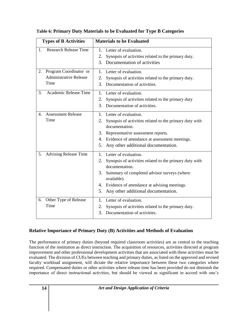| <b>Types of B Activities</b>                                          | <b>Materials to be Evaluated</b>                                                                                                                                                                                                                                                        |
|-----------------------------------------------------------------------|-----------------------------------------------------------------------------------------------------------------------------------------------------------------------------------------------------------------------------------------------------------------------------------------|
| <b>Research Release Time</b><br>1.                                    | 1. Letter of evaluation.<br>2.<br>Synopsis of activities related to the primary duty.<br>Documentation of activities<br>3.                                                                                                                                                              |
| Program Coordinator or<br>2.<br><b>Administrative Release</b><br>Time | 1.<br>Letter of evaluation.<br>2.<br>Synopsis of activities related to the primary duty.<br>Documentation of activities.<br>3.                                                                                                                                                          |
| Academic Release Time<br>3.                                           | Letter of evaluation.<br>1.<br>Synopsis of activities related to the primary duty<br>2.<br>3.<br>Documentation of activities.                                                                                                                                                           |
| <b>Assessment Release</b><br>4.<br>Time                               | 1.<br>Letter of evaluation.<br>2.<br>Synopsis of activities related to the primary duty with<br>documentation.<br>3.<br>Representative assessment reports.<br>Evidence of attendance at assessment meetings.<br>4.<br>Any other additional documentation.<br>5.                         |
| 5.<br><b>Advising Release Time</b>                                    | Letter of evaluation.<br>$1_{-}$<br>2.<br>Synopsis of activities related to the primary duty with<br>documentation.<br>3.<br>Summary of completed advisor surveys (where<br>available).<br>4. Evidence of attendance at advising meetings.<br>Any other additional documentation.<br>5. |
| Other Type of Release<br>6.<br>Time                                   | Letter of evaluation.<br>$1_{-}$<br>2.<br>Synopsis of activities related to the primary duty.<br>3.<br>Documentation of activities.                                                                                                                                                     |

## **Table 6: Primary Duty Materials to be Evaluated for Type B Categories**

## **Relative Importance of Primary Duty (B) Activities and Methods of Evaluation**

The performance of primary duties (beyond required classroom activities) are as central to the teaching function of the institution as direct instruction. The acquisition of resources, activities directed at program improvement and other professional development activities that are associated with these activities must be evaluated. The division of CUEs between teaching and primary duties, as listed on the approved and revised faculty workload assignment, will dictate the relative importance between these two categories where required. Compensated duties or other activities where release time has been provided do not diminish the importance of direct instructional activities, but should be viewed as significant in accord with one's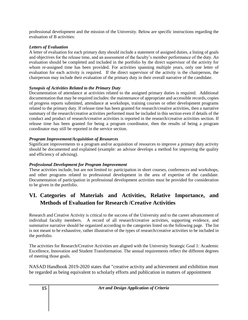professional development and the mission of the University. Below are specific instructions regarding the evaluation of B activities:

## *Letters of Evaluation*

A letter of evaluation for each primary duty should include a statement of assigned duties, a listing of goals and objectives for the release time, and an assessment of the faculty's member performance of the duty. An evaluation should be completed and included in the portfolio by the direct supervisor of the activity for whom re-assigned time has been provided. For activities spanning multiple years, only one letter of evaluation for each activity is required. If the direct supervisor of the activity is the chairperson, the chairperson may include their evaluation of the primary duty in their overall narrative of the candidate.

## *Synopsis of Activities Related to the Primary Duty*

Documentation of attendance at activities related to the assigned primary duties is required. Additional documentation that may be required includes: the maintenance of appropriate and accessible records, copies of progress reports submitted, attendance at workshops, training courses or other development programs related to the primary duty. If release time has been granted for research/creative activities, then a narrative summary of the research/creative activities performed must be included in this section even if details of the conduct and product of research/creative activities is reported in the research/creative activities section. If release time has been granted for being a program coordinator, then the results of being a program coordinator may still be reported in the service section.

## *Program Improvement/Acquisition of Resources*

Significant improvements to a program and/or acquisition of resources to improve a primary duty activity should be documented and explained (example: an advisor develops a method for improving the quality and efficiency of advising).

## *Professional Development for Program Improvement*

These activities include, but are not limited to: participation in short courses, conferences and workshops, and other programs related to professional development in the area of expertise of the candidate. Documentation of participation in professional development activities must be provided for consideration to be given in the portfolio.

## **VI. Categories of Materials and Activities, Relative Importance, and Methods of Evaluation for Research /Creative Activities**

Research and Creative Activity is critical to the success of the University and to the career advancement of individual faculty members. A record of all research/creative activities, supporting evidence, and summative narrative should be organized according to the categories listed on the following page. The list is not meant to be exhaustive, rather illustrative of the types of research/creative activities to be included in the portfolio.

The activities for Research/Creative Activities are aligned with the University Strategic Goal 1: Academic Excellence, Innovation and Student Transformation. The annual requirements reflect the different degrees of meeting those goals.

NASAD Handbook 2019-2020 states that "creative activity and achievement and exhibition must be regarded as being equivalent to scholarly efforts and publication in matters of appointment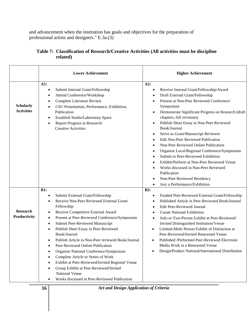and advancement when the institution has goals and objectives for the preparation of professional artists and designers." E.3a.(3)

|                                       | <b>Lower Achievement</b>                                                                                                                                                                                                                                                                                                                                                                                                                                                                                                                                                                                                                                                                                             | <b>Higher Achievement</b>                                                                                                                                                                                                                                                                                                                                                                                                                                                                                                                                                                                                                                                                                                                                                                                                                               |
|---------------------------------------|----------------------------------------------------------------------------------------------------------------------------------------------------------------------------------------------------------------------------------------------------------------------------------------------------------------------------------------------------------------------------------------------------------------------------------------------------------------------------------------------------------------------------------------------------------------------------------------------------------------------------------------------------------------------------------------------------------------------|---------------------------------------------------------------------------------------------------------------------------------------------------------------------------------------------------------------------------------------------------------------------------------------------------------------------------------------------------------------------------------------------------------------------------------------------------------------------------------------------------------------------------------------------------------------------------------------------------------------------------------------------------------------------------------------------------------------------------------------------------------------------------------------------------------------------------------------------------------|
| <b>Scholarly</b><br><b>Activities</b> | A1:<br>Submit Internal Grant/Fellowship<br>٠<br>Attend Conference/Workshop<br>٠<br>Complete Literature Review<br>$\bullet$<br>CSU Presentation, Performance, Exhibition,<br>$\bullet$<br>Publication<br>Establish Studio/Laboratory Space<br>$\bullet$<br>Report Progress in Research/<br>$\bullet$<br><b>Creative Activities</b>                                                                                                                                                                                                                                                                                                                                                                                    | A2:<br>Receive Internal Grant/Fellowship/Award<br>$\bullet$<br>Draft External Grant/Fellowship<br>$\bullet$<br>Present at Non-Peer Reviewed Conference/<br>$\bullet$<br>Symposium<br>Demonstrate Significant Progress on Research (draft<br>$\bullet$<br>chapters, full revisions)<br>Publish Short Essay in Non-Peer Reviewed<br>$\bullet$<br>Book/Journal<br>Serve as Grant/Manuscript Reviewer<br>$\bullet$<br>Edit Non-Peer Reviewed Publication<br>$\bullet$<br>Non-Peer Reviewed Online Publication<br>$\bullet$<br>Organize Local/Regional Conference/Symposium<br>$\bullet$<br>Submit to Peer-Reviewed Exhibition<br>$\bullet$<br>Exhibit/Perform at Non-Peer Reviewed Venue<br>$\bullet$<br>Works discussed in Non-Peer Reviewed<br>$\bullet$<br>Publication<br>Non-Peer Reviewed Residency<br>٠<br>Jury a Performance/Exhibition<br>$\bullet$ |
| <b>Research</b><br>Productivity       | B1:<br>Submit External Grant/Fellowship<br>$\bullet$<br>Receive Non-Peer Reviewed External Grant/<br>$\bullet$<br>Fellowship<br>Receive Competitive External Award<br>$\bullet$<br>Present at Peer-Reviewed Conference/Symposium<br>$\bullet$<br>Submit Peer-Reviewed Manuscript<br>$\bullet$<br>Publish Short Essay in Peer-Reviewed<br>٠<br>Book/Journal<br>Publish Article in Non-Peer reviewed Book/Journal<br>Peer-Reviewed Online Publication<br>Organize National Conference/Symposium<br>٠<br>Complete Article or Series of Work<br>Exhibit at Peer-Reviewed/Invited Regional Venue<br>Group Exhibit at Peer-Reviewed/Invited<br>National Venue<br>Works discussed in Peer-Reviewed Publication<br>$\bullet$ | B2:<br>Funded Peer-Reviewed External Grant/Fellowship<br>٠<br>Published Article in Peer-Reviewed Book/Journal<br>$\bullet$<br>Edit Peer-Reviewed Journal<br>$\bullet$<br><b>Curate National Exhibition</b><br>$\bullet$<br>Solo or Two-Person Exhibit at Peer-Reviewed/<br>$\bullet$<br>Invited Distinguished Institution/Venue<br>Limited-Multi Person Exhibit of Distinction at<br>Peer-Reviewed/Invited Renowned Venue<br>Published /Performed Peer-Reviewed Electronic<br>Media Work in a Renowned Venue<br>Design/Product National/International Distribution                                                                                                                                                                                                                                                                                      |

## **Table 7: Classification of Research/Creative Activities (All activities must be discipline related)**

**16** *Art and Design Application of Criteria*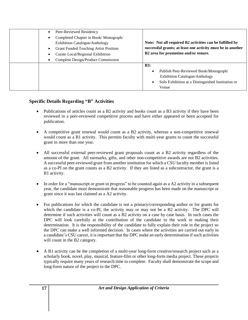| Peer-Reviewed Residency<br>$\bullet$<br>Completed Chapter in Book/Monograph/<br>$\bullet$<br><b>Exhibition Catalogue/Anthology</b><br><b>Grant Funded Teaching Artist Position</b><br>$\bullet$<br>Curate Local/Regional Exhibition<br>$\bullet$<br>Complete Design/Product Commission<br>$\bullet$ | Note: Not all required B2 activities can be fulfilled by<br>successful grants; at least one activity must be in another<br>B2 area for promotion and/or tenure.  |
|-----------------------------------------------------------------------------------------------------------------------------------------------------------------------------------------------------------------------------------------------------------------------------------------------------|------------------------------------------------------------------------------------------------------------------------------------------------------------------|
|                                                                                                                                                                                                                                                                                                     | B3:<br>Publish Peer-Reviewed Book/Monograph/<br>$\bullet$<br><b>Exhibition Catalogue/Anthology</b><br>Solo Exhibition at a Distinguished Institution or<br>Venue |

## **Specific Details Regarding "B" Activities**

- Publications of articles count as a B2 activity and books count as a B3 activity if they have been reviewed in a peer-reviewed competitive process and have either appeared or been accepted for publication.
- A competitive grant renewal would count as a B2 activity, whereas a non-competitive renewal would count as a B1 activity. This permits faculty with multi-year grants to count the successful grant in more than one year.
- All successful external peer-reviewed grant proposals count as a B2 activity regardless of the amount of the grant. All earmarks, gifts, and other non-competitive awards are not B2 activities. A successful peer-reviewed grant from another institution for which a CSU faculty member is listed as a co-PI on the grant counts as a B2 activity. If they are listed as a subcontractor, the grant is a B1 activity.
- In order for a "manuscript or grant in progress" to be counted again as a A2 activity in a subsequent year, the candidate must demonstrate that reasonable progress has been made on the manuscript or grant since it was last claimed as a A2 activity.
- For publications for which the candidate is not a primary/corresponding author or for grants for which the candidate is a co-PI, the activity may or may not be a B2 activity. The DPC will determine if such activities will count as a B2 activity on a case by case basis. In such cases the DPC will look carefully at the contribution of the candidate to the work in making their determination. It is the responsibility of the candidate to fully explain their role in the project so the DPC can make a well informed decision. In cases where the activities are carried out early in a candidate's CSU career, it is important that the DPC make an early determination if such activities will count in the B2 category.
- A B1 activity can be the completion of a multi-year long-form creative/research project such as a scholarly book, novel, play, musical, feature-film or other long-form media project. These projects typically require many years of research time to complete. Faculty shall demonstrate the scope and long-form nature of the project to the DPC.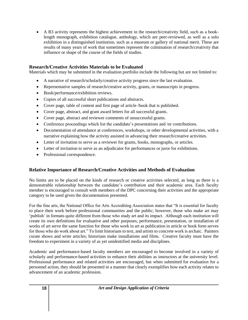A B3 activity represents the highest achievement in the research/creativity field, such as a booklength monograph, exhibition catalogue, anthology, which are peer-reviewed, as well as a solo exhibition in a distinguished institution, such as a museum or gallery of national merit. These are results of many years of work that sometimes represent the culmination of research/creativity that influence or shape of the course of the fields of studies.

## **Research/Creative Activities Materials to be Evaluated**

Materials which may be submitted in the evaluation portfolio include the following but are not limited to:

- A narrative of research/scholarly/creative activity progress since the last evaluation.
- Representative samples of research/creative activity, grants, or manuscripts in progress.
- Book/performance/exhibition reviews.
- Copies of all successful short publications and abstracts.
- Cover page, table of content and first page of article /book that is published.
- Cover page, abstract, and grant award letters for all successful grants.
- Cover page, abstract and reviewer comments of unsuccessful grants.
- Conference proceedings which list the candidate's presentations and /or contributions.
- Documentation of attendance at conferences, workshops, or other developmental activities, with a narrative explaining how the activity assisted in advancing their research/creative activities.
- Letter of invitation to serve as a reviewer for grants, books, monographs, or articles.
- Letter of invitation to serve as an adjudicator for performances or juror for exhibitions.
- Professional correspondence.

## **Relative Importance of Research/Creative Activities and Methods of Evaluation**

No limits are to be placed on the kinds of research or creative activities selected, as long as there is a demonstrable relationship between the candidate's contribution and their academic area. Each faculty member is encouraged to consult with members of the DPC concerning their activities and the appropriate category to be used given the documentation presented.

For the fine arts, the National Office for Arts Accrediting Association states that "It is essential for faculty to place their work before professional communities and the public; however, those who make art may 'publish' in formats quite different from those who study art and its impact. Although each institution will create its own definitions for evaluative and other purposes, performance, presentation, or installation of works of art serve the same function for those who work in art as publication in article or book form serves for those who do work about art." To limit historians to text, and artists to concrete work is archaic. Painters curate shows and write articles; historians make installations and films. Creative faculty must have the freedom to experiment in a variety of as yet unidentified media and disciplines.

Academic and performance-based faculty members are encouraged to become involved in a variety of scholarly and performance-based activities to enhance their abilities as instructors at the university level. Professional performance and related activities are encouraged, but when submitted for evaluation for a personnel action, they should be presented in a manner that clearly exemplifies how each activity relates to advancement of an academic profession.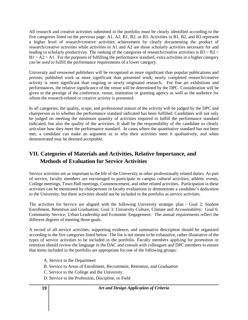All research and creative activities submitted in the portfolio must be clearly identified according to the five categories listed on the previous page: A1, A2, B1, B2, or B3. Activities in B1, B2, and B3 represent a higher level of research/creative activities achievement by clearly documenting the product of research/creative activities while activities in A1 and A2 are those scholarly activities necessary for and leading to scholarly productivity. The ranking of the categories of research/creative activities is B3 > B2 >  $B1 > A2 > A1$ . For the purposes of fulfilling the performance standard, extra activities in a higher category can be used to fulfill the performance requirements of a lower category.

University and renowned publishers will be recognized as more significant than popular publications and presses; published work as more significant than presented work; nearly completed research/creative activity is more significant than ongoing or newly originated research. For fine art exhibitions and performances, the relative significance of the venue will be determined by the DPC. Consideration will be given to the prestige of the conference, venue, institution or granting agency as well as the audience for whom the research-related or creative activity is presented.

In all categories, the quality, scope, and professional stature of the activity will be judged by the DPC and chairperson as to whether the performance standard indicated has been fulfilled. Candidates will not only be judged on meeting the minimum quantity of activities required to fulfill the performance standard indicated, but also the quality of the activities. It shall be the responsibility of the candidate to clearly articulate how they meet the performance standard. In cases where the quantitative standard has not been met, a candidate can make an argument as to why their activities meet it qualitatively, and when demonstrated may be deemed acceptable.

## **VII. Categories of Materials and Activities, Relative Importance, and Methods of Evaluation for Service Activities**

Service activities are as important to the life of the University as other professionally related duties. As part of service, faculty members are encouraged to participate in campus cultural activities, athletic events, College meetings, Town Hall meetings, Commencement, and other related activities. Participation in these activities can be mentioned by chairpersons in faculty evaluations to demonstrate a candidate's dedication to the University, but these activities should not be included in the portfolio as service activities.

The activities for Service are aligned with the following University strategic plan - Goal 2: Student Enrollment, Retention and Graduation; Goal 3: University Culture, Climate and Accountability; Goal 6: Community Service, Urban Leadership and Economic Engagement. The annual requirements reflect the different degrees of meeting those goals.

A record of all service activities, supporting evidence, and summative description should be organized according to the five categories listed below. The list is not meant to be exhaustive, rather illustrative of the types of service activities to be included in the portfolio. Faculty members applying for promotion or retention should review the language in the DAC and consult with colleagues and DPC members to ensure that items included in the portfolio are appropriate for one of the following groups:

- A. Service to the Department
- B. Service to Areas of Enrollment, Recruitment, Retention, and Graduation
- C. Service to the College and the University.
- D. Service to the Profession, Discipline, or Field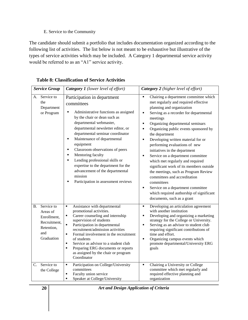## E. Service to the Community

The candidate should submit a portfolio that includes documentation organized according to the following list of activities. The list below is not meant to be exhaustive but illustrative of the types of service activities which may be included. A Category 1 departmental service activity would be referred to as an "A1" service activity.

| <b>Service Group</b>                                                                           | <b>Category 1</b> (lower level of effort)                                                                                                                                                                                                                                                                                                                                                                                                                                                               | Category 2 (higher level of effort)                                                                                                                                                                                                                                                                                                                                                                                                                                                                                                                                                                                                                                                                                                                                   |
|------------------------------------------------------------------------------------------------|---------------------------------------------------------------------------------------------------------------------------------------------------------------------------------------------------------------------------------------------------------------------------------------------------------------------------------------------------------------------------------------------------------------------------------------------------------------------------------------------------------|-----------------------------------------------------------------------------------------------------------------------------------------------------------------------------------------------------------------------------------------------------------------------------------------------------------------------------------------------------------------------------------------------------------------------------------------------------------------------------------------------------------------------------------------------------------------------------------------------------------------------------------------------------------------------------------------------------------------------------------------------------------------------|
| A. Service to<br>the<br>Department<br>or Program                                               | Participation in department<br>committees<br>Administrative functions as assigned<br>by the chair or dean such as<br>departmental webmaster,<br>departmental newsletter editor, or<br>departmental seminar coordinator<br>Maintenance of departmental<br>equipment<br>Classroom observations of peers<br>٠<br>Mentoring faculty<br>٠<br>Lending professional skills or<br>٠<br>expertise to the department for the<br>advancement of the departmental<br>mission<br>Participation in assessment reviews | Chairing a department committee which<br>$\blacksquare$<br>met regularly and required effective<br>planning and organization<br>Serving as a recorder for departmental<br>٠<br>meetings<br>Organizing departmental seminars<br>$\blacksquare$<br>Organizing public events sponsored by<br>the department<br>Developing written material for or<br>$\blacksquare$<br>performing evaluations of new<br>initiatives in the department<br>Service on a department committee<br>٠<br>which met regularly and required<br>significant work of its members outside<br>the meetings, such as Program Review<br>committees and accreditation<br>committees<br>Service on a department committee<br>٠<br>which required authorship of significant<br>documents, such as a grant |
| Service to<br>Β.<br>Areas of<br>Enrollment,<br>Recruitment,<br>Retention,<br>and<br>Graduation | Assistance with departmental<br>$\blacksquare$<br>promotional activities.<br>Career counseling and internship<br>٠<br>supervision of students<br>$\blacksquare$<br>Participation in departmental<br>recruitment/admission activities<br>Formal involvement in the recruitment<br>$\blacksquare$<br>of students<br>Service as advisor to a student club<br>٠<br>Preparing ERG documents or reports<br>٠<br>as assigned by the chair or program<br>Coordinator                                            | Developing an articulation agreement<br>٠<br>with another institution<br>Developing and organizing a marketing<br>П<br>strategy for the College or University.<br>Serving as an advisor to student club<br>$\blacksquare$<br>requiring significant contributions of<br>time and effort.<br>Organizing campus events which<br>$\blacksquare$<br>promote departmental/University ERG<br>goals                                                                                                                                                                                                                                                                                                                                                                           |
| Service to<br>C.<br>the College                                                                | Participation on College/University<br>٠<br>committees<br>Faculty union service<br>٠<br>Speaker at College/University<br>٠                                                                                                                                                                                                                                                                                                                                                                              | Chairing a University or College<br>committee which met regularly and<br>required effective planning and<br>organization                                                                                                                                                                                                                                                                                                                                                                                                                                                                                                                                                                                                                                              |

**Table 8: Classification of Service Activities**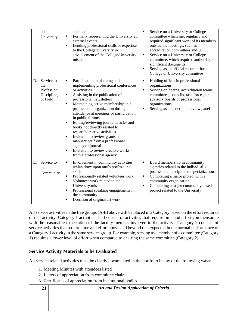| and<br>University                                                 | seminars<br>Formally representing the University at<br>٠<br>external events<br>Lending professional skills or expertise<br>٠<br>to the College/University in<br>advancement of the College/University<br>mission                                                                                                                                                                                                                                                                                                                                                                                                       | Service on a University or College<br>٠<br>committee which met regularly and<br>required significant work of its members<br>outside the meetings, such as<br>accreditation committees and UPC<br>Service on a University or College<br>$\blacksquare$<br>committee, which required authorship of<br>significant documents.<br>Serving as an official recorder for a<br>$\blacksquare$<br>College or University committee |
|-------------------------------------------------------------------|------------------------------------------------------------------------------------------------------------------------------------------------------------------------------------------------------------------------------------------------------------------------------------------------------------------------------------------------------------------------------------------------------------------------------------------------------------------------------------------------------------------------------------------------------------------------------------------------------------------------|--------------------------------------------------------------------------------------------------------------------------------------------------------------------------------------------------------------------------------------------------------------------------------------------------------------------------------------------------------------------------------------------------------------------------|
| Service to<br>D.<br>the<br>Profession,<br>Discipline,<br>or Field | Participation in planning and<br>٠<br>implementing professional conferences<br>or activities<br>Assisting in the publication of<br>٠<br>professional newsletters<br>Maintaining active membership in a<br>$\blacksquare$<br>professional organization through<br>attendance at meetings or participation<br>in public forums.<br>Editing/reviewing journal articles and<br>٠<br>books not directly related to<br>research/creative activities<br>Invitation to review grants or<br>٠<br>manuscripts from a professional<br>agency or journal<br>Invitation to review creative works<br>٠<br>from a professional agency | Holding offices in professional<br>٠<br>organizations<br>Serving on boards, accreditation teams,<br>$\blacksquare$<br>committees, councils, task forces, or<br>advisory boards of professional<br>organizations<br>Serving as a leader on a review panel<br>٠                                                                                                                                                            |
| Service to<br>Ε.<br>the<br>Community                              | Involvement in community activities<br>٠<br>which draw upon one's professional<br>skills<br>Professionally related volunteer work<br>٠<br>Volunteer work related to the<br>٠<br>University mission<br>Professional speaking engagements in<br>٠<br>the community<br>Donation of original art work<br>٠                                                                                                                                                                                                                                                                                                                 | Board membership in community<br>٠<br>agencies related to the individual's<br>professional discipline or specialization<br>Completing a major project with a<br>٠<br>community organization<br>Completing a major community based<br>٠<br>project related to the University                                                                                                                                              |

All service activities in the five groups (A-E) above will be placed in a Category based on the effort required of that activity. Category 1 activities shall consist of activities that require time and effort commensurate with the reasonable expectation of the faculty member involved in the activity. Category 2 consists of service activities that require time and effort above and beyond that expected in the normal performance of a Category 1 activity in the same service group. For example, serving as a member of a committee (Category 1) requires a lower level of effort when compared to chairing the same committee (Category 2).

## **Service Activity Materials to be Evaluated**

All service related activities must be clearly documented in the portfolio in any of the following ways:

- 1. Meeting Minutes with attendees listed
- 2. Letters of appreciation from committee chairs
- 3. Certificates of appreciation from institutional bodies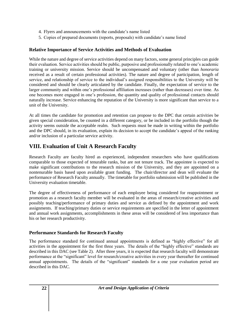- 4. Flyers and announcements with the candidate's name listed
- 5. Copies of prepared documents (reports, proposals) with candidate's name listed

## **Relative Importance of Service Activities and Methods of Evaluation**

While the nature and degree of service activities depend on many factors, some general principles can guide their evaluation. Service activities should be public, purposive and professionally related to one's academic training or university mission. Service should be uncompensated and voluntary (other than *honoraria* received as a result of certain professional activities). The nature and degree of participation, length of service, and relationship of service to the individual's assigned responsibilities to the University will be considered and should be clearly articulated by the candidate. Finally, the expectation of service to the larger community and within one's professional affiliation increases (rather than decreases) over time. As one becomes more engaged in one's profession, the quantity and quality of professional contacts should naturally increase. Service enhancing the reputation of the University is more significant than service to a unit of the University.

At all times the candidate for promotion and retention can propose to the DPC that certain activities be given special consideration, be counted in a different category, or be included in the portfolio though the activity seems outside the acceptable realm. Such requests must be made in writing within the portfolio and the DPC should, in its evaluation, explain its decision to accept the candidate's appeal of the ranking and/or inclusion of a particular service activity.

## **VIII. Evaluation of Unit A Research Faculty**

Research Faculty are faculty hired as experienced, independent researchers who have qualifications comparable to those expected of tenurable ranks, but are not tenure track. The appointee is expected to make significant contributions to the research mission of the University, and they are appointed on a nontenurable basis based upon available grant funding. The chair/director and dean will evaluate the performance of Research Faculty annually. The timetable for portfolio submission will be published in the University evaluation timetable.

The degree of effectiveness of performance of each employee being considered for reappointment or promotion as a research faculty member will be evaluated in the areas of research/creative activities and possibly teaching/performance of primary duties and service as defined by the appointment and work assignments. If teaching/primary duties or service requirements are specified in the letter of appointment and annual work assignments, accomplishments in these areas will be considered of less importance than his or her research productivity.

## **Performance Standards for Research Faculty**

The performance standard for continued annual appointments is defined as "highly effective" for all activities in the appointment for the first three years. The details of the "highly effective" standards are described in this DAC (see Table 2). After three years, it is expected that research faculty will demonstrate performance at the "significant" level for research/creative activities in every year thereafter for continued annual appointments. The details of the "significant" standards for a one year evaluation period are described in this DAC.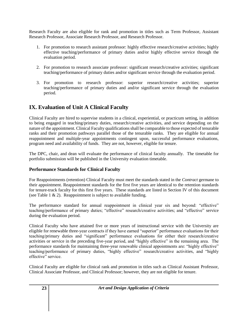Research Faculty are also eligible for rank and promotion in titles such as Term Professor, Assistant Research Professor, Associate Research Professor, and Research Professor.

- 1. For promotion to research assistant professor: highly effective research/creative activities; highly effective teaching/performance of primary duties and/or highly effective service through the evaluation period.
- 2. For promotion to research associate professor: significant research/creative activities; significant teaching/performance of primary duties and/or significant service through the evaluation period.
- 3. For promotion to research professor: superior research/creative activities; superior teaching/performance of primary duties and and/or significant service through the evaluation period.

## **IX. Evaluation of Unit A Clinical Faculty**

Clinical Faculty are hired to supervise students in a clinical, experiential, or practicum setting, in addition to being engaged in teaching/primary duties, research/creative activities, and service depending on the nature of the appointment. Clinical Faculty qualifications shall be comparable to those expected of tenurable ranks and their promotion pathways parallel those of the tenurable ranks. They are eligible for annual reappointment and multiple-year appointments contingent upon, successful performance evaluations, program need and availability of funds. They are not, however, eligible for tenure.

The DPC, chair, and dean will evaluate the performance of clinical faculty annually. The timetable for portfolio submission will be published in the University evaluation timetable.

## **Performance Standards for Clinical Faculty**

For Reappointments (retention) Clinical Faculty must meet the standards stated in the *Contract* germane to their appointment. Reappointment standards for the first five years are identical to the retention standards for tenure-track faculty for this first five years. These standards are listed in Section IV of this document (see Table 1  $\&$  2). Reappointment is subject to available funding.

The performance standard for annual reappointment in clinical year six and beyond: "effective" teaching/performance of primary duties; "effective" research/creative activities; and "effective" service during the evaluation period.

Clinical Faculty who have attained five or more years of instructional service with the University are eligible for renewable three-year contracts if they have earned "superior" performance evaluations for their teaching/primary duties and "significant" performance evaluations for either their research/creative activities or service in the preceding five-year period, and "highly effective" in the remaining area. The performance standards for maintaining three-year renewable clinical appointments are: "highly effective" teaching/performance of primary duties, "highly effective" research/creative activities, and "highly effective" service.

Clinical Faculty are eligible for clinical rank and promotion in titles such as Clinical Assistant Professor, Clinical Associate Professor, and Clinical Professor; however, they are not eligible for tenure.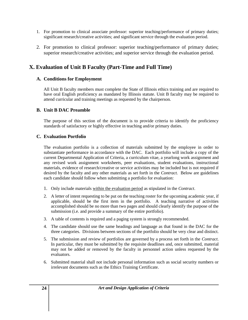- 1. For promotion to clinical associate professor: superior teaching/performance of primary duties; significant research/creative activities; and significant service through the evaluation period.
- 2. For promotion to clinical professor: superior teaching/performance of primary duties; superior research/creative activities; and superior service through the evaluation period.

## **X. Evaluation of Unit B Faculty (Part-Time and Full Time)**

## **A. Conditions for Employment**

All Unit B faculty members must complete the State of Illinois ethics training and are required to have oral English proficiency as mandated by Illinois statute. Unit B faculty may be required to attend curricular and training meetings as requested by the chairperson.

## **B. Unit B DAC Preamble**

The purpose of this section of the document is to provide criteria to identify the proficiency standards of satisfactory or highly effective in teaching and/or primary duties.

## **C. Evaluation Portfolio**

The evaluation portfolio is a collection of materials submitted by the employee in order to substantiate performance in accordance with the DAC. Each portfolio will include a copy of the current Departmental Application of Criteria, a curriculum vitae, a yearlong work assignment and any revised work assignment worksheets, peer evaluations, student evaluations, instructional materials, evidence of research/creative or service activities may be included but is not required if desired by the faculty and any other materials as set forth in the *Contract.* Below are guidelines each candidate should follow when submitting a portfolio for evaluation:

- 1. Only include materials within the evaluation period as stipulated in the *Contract*.
- 2. A letter of intent requesting to be put on the teaching roster for the upcoming academic year, if applicable, should be the first item in the portfolio. A teaching narrative of activities accomplished should be no more than two pages and should clearly identify the purpose of the submission (i.e. and provide a summary of the entire portfolio).
- 3. A table of contents is required and a paging system is strongly recommended.
- 4. The candidate should use the same headings and language as that found in the DAC for the three categories. Divisions between sections of the portfolio should be very clear and distinct.
- 5. The submission and review of portfolios are governed by a process set forth in the *Contract*. In particular, they must be submitted by the requisite deadlines and, once submitted, material may not be added or removed by the faculty in personnel action unless requested by the evaluators.
- 6. Submitted material shall not include personal information such as social security numbers or irrelevant documents such as the Ethics Training Certificate.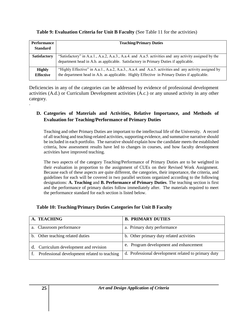**Table 9: Evaluation Criteria for Unit B Faculty** (See Table 11 for the activities)

| Performance<br><b>Standard</b> | <b>Teaching/Primary Duties</b>                                                                                                                                                                 |  |
|--------------------------------|------------------------------------------------------------------------------------------------------------------------------------------------------------------------------------------------|--|
| <b>Satisfactory</b>            | "Satisfactory" in A.a.1., A.a.2, A.a.3., A.a.4. and A.a.5. activities and any activity assigned by the<br>department head in A.b. as applicable. Satisfactory in Primary Duties if applicable. |  |
| <b>Highly</b>                  | "Highly Effective" in A.a.1., A.a.2, A.a.3., A.a.4. and A.a.5. activities and any activity assigned by                                                                                         |  |
| <b>Effective</b>               | the department head in A.b. as applicable. Highly Effective in Primary Duties if applicable.                                                                                                   |  |

Deficiencies in any of the categories can be addressed by evidence of professional development activities (A.d.) or Curriculum Development activities (A.c.) or any unused activity in any other category. .

## **D. Categories of Materials and Activities, Relative Importance, and Methods of Evaluation for Teaching/Performance of Primary Duties**

Teaching and other Primary Duties are important to the intellectual life of the University. A record of all teaching and teaching-related activities, supporting evidence, and summative narrative should be included in each portfolio. The narrative should explain how the candidate meets the established criteria, how assessment results have led to changes in courses, and how faculty development activities have improved teaching.

The two aspects of the category Teaching/Performance of Primary Duties are to be weighted in their evaluation in proportion to the assignment of CUEs on their Revised Work Assignment. Because each of these aspects are quite different, the categories, their importance, the criteria, and guidelines for each will be covered in two parallel sections organized according to the following designations: **A. Teaching** and **B. Performance of Primary Duties**. The teaching section is first and the performance of primary duties follow immediately after. The materials required to meet the performance standard for each section is listed below.

| Table 10: Teaching/Primary Duties Categories for Unit B Faculty |  |  |
|-----------------------------------------------------------------|--|--|
|                                                                 |  |  |

| A. TEACHING                                  | <b>B. PRIMARY DUTIES</b>                            |
|----------------------------------------------|-----------------------------------------------------|
| a. Classroom performance                     | a. Primary duty performance                         |
| b. Other teaching related duties             | b. Other primary duty related activities            |
| d. Curriculum development and revision       | e. Program development and enhancement              |
| Professional development related to teaching | d. Professional development related to primary duty |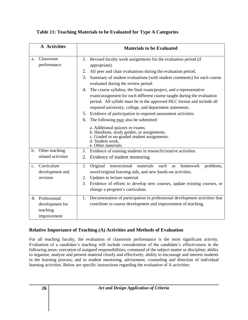| <b>A</b> Activities |                                                            | <b>Materials to be Evaluated</b>                                                                                                                                                                                                                                                                     |  |
|---------------------|------------------------------------------------------------|------------------------------------------------------------------------------------------------------------------------------------------------------------------------------------------------------------------------------------------------------------------------------------------------------|--|
| a.                  | Classroom<br>performance                                   | 1. Revised faculty work assignments for the evaluation period (if<br>appropriate).                                                                                                                                                                                                                   |  |
|                     |                                                            | All peer and chair evaluations during the evaluation period.<br>2.                                                                                                                                                                                                                                   |  |
|                     |                                                            | Summary of student evaluations (with student comments) for each course<br>3.<br>evaluated during the review period.                                                                                                                                                                                  |  |
|                     |                                                            | The course syllabus, the final exam/project, and a representative<br>4.<br>exam/assignment for each different course taught during the evaluation<br>period. All syllabi must be in the approved HLC format and include all<br>required university, college, and department statements.              |  |
|                     |                                                            | 5. Evidence of participation in required assessment activities.                                                                                                                                                                                                                                      |  |
|                     |                                                            | The following may also be submitted:<br>6.                                                                                                                                                                                                                                                           |  |
|                     |                                                            | a. Additional quizzes or exams.<br>b. Handouts, study guides, or assignments.<br>c. Graded or un-graded student assignments.<br>d. Student work.<br>e. Other materials.                                                                                                                              |  |
| b.                  | Other teaching                                             | 1. Evidence of training students in research/creative activities.                                                                                                                                                                                                                                    |  |
|                     | related activities                                         | Evidence of student mentoring<br>2.                                                                                                                                                                                                                                                                  |  |
| $\mathbf{c}$ .      | Curriculum<br>development and<br>revision                  | Original<br>instructional<br>materials<br>such<br>problems,<br>1.<br>homework<br>as<br>novel/original learning aids, and new hands-on activities.<br>2. Updates to lecture material.<br>3. Evidence of efforts to develop new courses, update existing courses, or<br>change a program's curriculum. |  |
| 4.                  | Professional<br>development for<br>teaching<br>improvement | 1. Documentation of participation in professional development activities that<br>contribute to course development and improvement of teaching.                                                                                                                                                       |  |

## **Relative Importance of Teaching (A) Activities and Methods of Evaluation**

For all teaching faculty, the evaluation of classroom performance is the most significant activity. Evaluation of a candidate's teaching will include consideration of the candidate's effectiveness in the following areas: execution of assigned responsibilities; command of the subject matter or discipline; ability to organize, analyze and present material clearly and effectively; ability to encourage and interest students in the learning process; and in student mentoring, advisement, counseling and direction of individual learning activities. Below are specific instructions regarding the evaluation of A activities: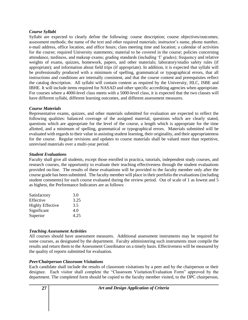#### *Course Syllabi*

Syllabi are expected to clearly define the following: course description; course objectives/outcomes; assessment methods; the name of the text and other required materials; instructor's name, phone number, e-mail address, office location, and office hours; class meeting time and location; a calendar of activities for the course; required University statements; material to be covered in the course; policies concerning attendance, tardiness, and makeup exams; grading standards (including 'I' grades); frequency and relative weights of exams, quizzes, homework, papers, and other materials; laboratory/studio safety rules (if appropriate); and information about field trips (if appropriate). In addition, it is expected that syllabi will be professionally produced with a minimum of spelling, grammatical or typographical errors, that all instructions and conditions are internally consistent, and that the course content and prerequisites reflect the catalog description. All syllabi will contain content as required by the University, HLC, ISBE and IBHE. It will include items required for NASAD and other specific accrediting agencies when appropriate. For courses where a 4000-level class meets with a 5000-level class, it is expected that the two classes will have different syllabi, different learning outcomes, and different assessment measures.

## *Course Materials*

Representative exams, quizzes, and other materials submitted for evaluation are expected to reflect the following qualities: balanced coverage of the assigned material, questions which are clearly stated, questions which are appropriate for the level of the course, a length which is appropriate for the time allotted, and a minimum of spelling, grammatical or typographical errors. Materials submitted will be evaluated with regards to their value in assisting student learning, their originality, and their appropriateness for the course. Regular revisions and updates to course materials shall be valued more than repetitive, unrevised materials over a multi-year period.

#### *Student Evaluations*

Faculty shall give all students, except those enrolled in practica, tutorials, independent study courses, and research courses, the opportunity to evaluate their teaching effectiveness through the student evaluations provided on-line. The results of these evaluations will be provided to the faculty member only after the course grade has been submitted. The faculty member will place in their portfolio the evaluations (including student comments) for each course evaluated during the review period. Out of scale of 1 as lowest and 5 as highest, the Performance Indicators are as follows:

| Satisfactory            | 3.0  |
|-------------------------|------|
| Effective               | 3.25 |
| <b>Highly Effective</b> | 3.5  |
| Significant             | 4.0  |
| Superior                | 4.25 |
|                         |      |

## *Teaching Assessment Activities*

All courses should have assessment measures. Additional assessment instruments may be required for some courses, as designated by the department. Faculty administering such instruments must compile the results and return them to the Assessment Coordinator on a timely basis. Effectiveness will be measured by the quality of reports submitted for evaluation.

## *Peer/Chairperson Classroom Visitations*

Each candidate shall include the results of classroom visitations by a peer and by the chairperson or their designee. Each visitor shall complete the "Classroom Visitation/Evaluation Form" approved by the department. The completed form should be copied to the faculty member visited, to the DPC chairperson,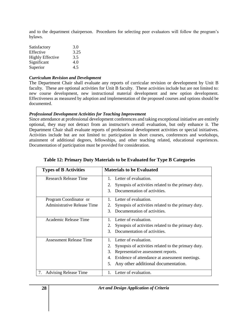and to the department chairperson. Procedures for selecting peer evaluators will follow the program's bylaws.

| Satisfactory            | 3.0  |
|-------------------------|------|
| Effective               | 3.25 |
| <b>Highly Effective</b> | 3.5  |
| Significant             | 4.0  |
| Superior                | 4.5  |

#### *Curriculum Revision and Development*

The Department Chair shall evaluate any reports of curricular revision or development by Unit B faculty. These are optional activities for Unit B faculty. These activities include but are not limited to: new course development, new instructional material development and new option development. Effectiveness as measured by adoption and implementation of the proposed courses and options should be documented.

## *Professional Development Activities for Teaching Improvement*

Since attendance at professional development conferences and taking exceptional initiative are entirely optional, they may not detract from an instructor's overall evaluation, but only enhance it. The Department Chair shall evaluate reports of professional development activities or special initiatives. Activities include but are not limited to: participation in short courses, conferences and workshops, attainment of additional degrees, fellowships, and other teaching related, educational experiences. Documentation of participation must be provided for consideration.

| <b>Types of B Activities</b>                          | <b>Materials to be Evaluated</b>                                                                                                                                                                                                    |  |
|-------------------------------------------------------|-------------------------------------------------------------------------------------------------------------------------------------------------------------------------------------------------------------------------------------|--|
| Research Release Time                                 | 1. Letter of evaluation.<br>Synopsis of activities related to the primary duty.<br>2.<br>Documentation of activities.<br>3                                                                                                          |  |
| Program Coordinator or<br>Administrative Release Time | 1. Letter of evaluation.<br>Synopsis of activities related to the primary duty.<br>2.<br>Documentation of activities.<br>3                                                                                                          |  |
| Academic Release Time                                 | Letter of evaluation.<br>Synopsis of activities related to the primary duty.<br>2.<br>Documentation of activities.<br>$\mathcal{F}$                                                                                                 |  |
| Assessment Release Time                               | Letter of evaluation.<br>Synopsis of activities related to the primary duty.<br>2.<br>Representative assessment reports.<br>3.<br>Evidence of attendance at assessment meetings.<br>4.<br>Any other additional documentation.<br>5. |  |
| <b>Advising Release Time</b><br>7.                    | Letter of evaluation.                                                                                                                                                                                                               |  |

## **Table 12: Primary Duty Materials to be Evaluated for Type B Categories**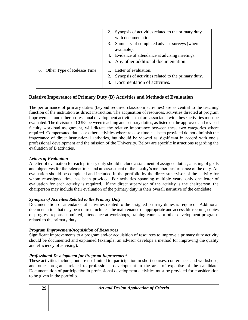|                               | 2. Synopsis of activities related to the primary duty<br>with documentation.<br>3. Summary of completed advisor surveys (where<br>available).<br>4. Evidence of attendance at advising meetings.<br>5. Any other additional documentation. |
|-------------------------------|--------------------------------------------------------------------------------------------------------------------------------------------------------------------------------------------------------------------------------------------|
| 6. Other Type of Release Time | 1. Letter of evaluation.<br>Synopsis of activities related to the primary duty.<br>3. Documentation of activities.                                                                                                                         |

## **Relative Importance of Primary Duty (B) Activities and Methods of Evaluation**

The performance of primary duties (beyond required classroom activities) are as central to the teaching function of the institution as direct instruction. The acquisition of resources, activities directed at program improvement and other professional development activities that are associated with these activities must be evaluated. The division of CUEs between teaching and primary duties, as listed on the approved and revised faculty workload assignment, will dictate the relative importance between these two categories where required. Compensated duties or other activities where release time has been provided do not diminish the importance of direct instructional activities, but should be viewed as significant in accord with one's professional development and the mission of the University. Below are specific instructions regarding the evaluation of B activities.

## *Letters of Evaluation*

A letter of evaluation for each primary duty should include a statement of assigned duties, a listing of goals and objectives for the release time, and an assessment of the faculty's member performance of the duty. An evaluation should be completed and included in the portfolio by the direct supervisor of the activity for whom re-assigned time has been provided. For activities spanning multiple years, only one letter of evaluation for each activity is required. If the direct supervisor of the activity is the chairperson, the chairperson may include their evaluation of the primary duty in their overall narrative of the candidate.

## *Synopsis of Activities Related to the Primary Duty*

Documentation of attendance at activities related to the assigned primary duties is required. Additional documentation that may be required includes: the maintenance of appropriate and accessible records, copies of progress reports submitted, attendance at workshops, training courses or other development programs related to the primary duty.

## *Program Improvement/Acquisition of Resources*

Significant improvements to a program and/or acquisition of resources to improve a primary duty activity should be documented and explained (example: an advisor develops a method for improving the quality and efficiency of advising).

## *Professional Development for Program Improvement*

These activities include, but are not limited to: participation in short courses, conferences and workshops, and other programs related to professional development in the area of expertise of the candidate. Documentation of participation in professional development activities must be provided for consideration to be given in the portfolio.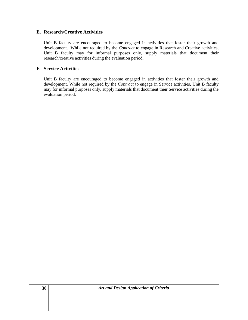## **E. Research/Creative Activities**

Unit B faculty are encouraged to become engaged in activities that foster their growth and development. While not required by the *Contract* to engage in Research and Creative activities, Unit B faculty may for informal purposes only, supply materials that document their research/creative activities during the evaluation period.

## **F. Service Activities**

Unit B faculty are encouraged to become engaged in activities that foster their growth and development. While not required by the *Contract* to engage in Service activities, Unit B faculty may for informal purposes only, supply materials that document their Service activities during the evaluation period.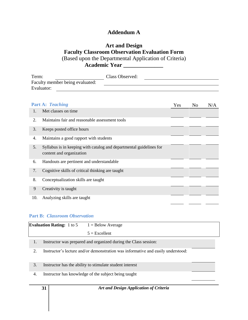## **Addendum A**

## **Art and Design Faculty Classroom Observation Evaluation Form** (Based upon the Departmental Application of Criteria) **Academic Year \_\_\_\_\_\_\_\_\_\_\_\_\_\_**

| Term:                           | Class Observed: |  |
|---------------------------------|-----------------|--|
| Faculty member being evaluated: |                 |  |
| Evaluator:                      |                 |  |

|     | <b>Part A: Teaching</b>                                                                         | Yes | N <sub>0</sub> | N/A |
|-----|-------------------------------------------------------------------------------------------------|-----|----------------|-----|
| 1.  | Met classes on time.                                                                            |     |                |     |
| 2.  | Maintains fair and reasonable assessment tools                                                  |     |                |     |
| 3.  | Keeps posted office hours                                                                       |     |                |     |
| 4.  | Maintains a good rapport with students                                                          |     |                |     |
| 5.  | Syllabus is in keeping with catalog and departmental guidelines for<br>content and organization |     |                |     |
| 6.  | Handouts are pertinent and understandable                                                       |     |                |     |
| 7.  | Cognitive skills of critical thinking are taught                                                |     |                |     |
| 8.  | Conceptualization skills are taught                                                             |     |                |     |
| 9   | Creativity is taught                                                                            |     |                |     |
| 10. | Analyzing skills are taught                                                                     |     |                |     |

## **Part B:** *Classroom Observation*

| <b>Evaluation Rating:</b> 1 to 5 | $1 =$ Below Average                                                                                                                                                                                                             |  |
|----------------------------------|---------------------------------------------------------------------------------------------------------------------------------------------------------------------------------------------------------------------------------|--|
|                                  | $5 =$ Excellent                                                                                                                                                                                                                 |  |
|                                  | $\sim$ . The contract of the contract of the contract of the contract of the contract of the contract of the contract of the contract of the contract of the contract of the contract of the contract of the contract of the co |  |

- 1. Instructor was prepared and organized during the Class session:
- 2. Instructor's lecture and/or demonstration was informative and easily understood:
- 3. Instructor has the ability to stimulate student interest
- 4. Instructor has knowledge of the subject being taught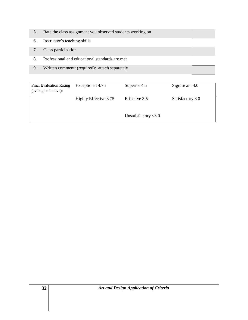- 5. Rate the class assignment you observed students working on
- 6. Instructor's teaching skills
- 7. Class participation
- 8. Professional and educational standards are met
- 9. Written comment: (required): attach separately

| <b>Final Evaluation Rating</b><br>(average of above): | Exceptional 4.75      | Superior 4.5           | Significant 4.0  |
|-------------------------------------------------------|-----------------------|------------------------|------------------|
|                                                       | Highly Effective 3.75 | Effective 3.5          | Satisfactory 3.0 |
|                                                       |                       | Unsatisfactory $<$ 3.0 |                  |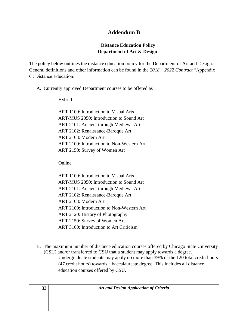## **Addendum B**

## **Distance Education Policy Department of Art & Design**

The policy below outlines the distance education policy for the Department of Art and Design. General definitions and other information can be found in the *2018 – 2022 Contract* "Appendix G: Distance Education."

A. Currently approved Department courses to be offered as

## Hybrid

ART 1100: Introduction to Visual Arts ART/MUS 2050: Introduction to Sound Art ART 2101: Ancient through Medieval Art ART 2102: Renaissance-Baroque Art ART 2103: Modern Art ART 2100: Introduction to Non-Western Art ART 2150: Survey of Women Art

Online

- ART 1100: Introduction to Visual Arts ART/MUS 2050: Introduction to Sound Art ART 2101: Ancient through Medieval Art ART 2102: Renaissance-Baroque Art ART 2103: Modern Art ART 2100: Introduction to Non-Western Art ART 2120: History of Photography ART 2150: Survey of Women Art ART 3100: Introduction to Art Criticism
- B. The maximum number of distance education courses offered by Chicago State University (CSU) and/or transferred to CSU that a student may apply towards a degree. Undergraduate students may apply no more than 39% of the 120 total credit hours (47 credit hours) towards a baccalaureate degree. This includes all distance education courses offered by CSU.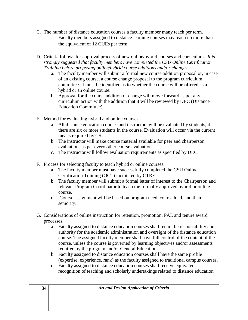- C. The number of distance education courses a faculty member many teach per term. Faculty members assigned to distance learning courses may teach no more than the equivalent of 12 CUEs per term.
- D. Criteria follows for approval process of new online/hybrid courses and curriculum. *It is strongly suggested that faculty members have completed the CSU Online Certification Training before proposing online/hybrid course additions and/or changes.*
	- a. The faculty member will submit a formal new course addition proposal or, in case of an existing course, a course change proposal to the program curriculum committee. It must be identified as to whether the course will be offered as a hybrid or an online course.
	- b. Approval for the course addition or change will move forward as per any curriculum action with the addition that it will be reviewed by DEC (Distance Education Committee).
- E. Method for evaluating hybrid and online courses.
	- a. All distance education courses and instructors will be evaluated by students, if there are six or more students in the course. Evaluation will occur via the current means required by CSU.
	- b. The instructor will make course material available for peer and chairperson evaluations as per every other course evaluation.
	- c. The instructor will follow evaluation requirements as specified by DEC.
- F. Process for selecting faculty to teach hybrid or online courses.
	- a. The faculty member must have successfully completed the CSU Online Certification Training (OCT) facilitated by CTRE.
	- b. The faculty member will submit a formal letter of interest to the Chairperson and relevant Program Coordinator to teach the formally approved hybrid or online course.
	- c. Course assignment will be based on program need, course load, and then seniority.
- G. Considerations of online instruction for retention, promotion, PAI, and tenure award processes.
	- a. Faculty assigned to distance education courses shall retain the responsibility and authority for the academic administration and oversight of the distance education course. The assigned faculty member shall have full control of the content of the course, unless the course is governed by learning objectives and/or assessments required by the program and/or General Education.
	- b. Faculty assigned to distance education courses shall have the same profile (expertise, experience, rank) as the faculty assigned to traditional campus courses.
	- c. Faculty assigned to distance education courses shall receive equivalent recognition of teaching and scholarly undertakings related to distance education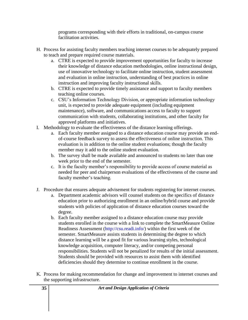programs corresponding with their efforts in traditional, on-campus course facilitation activities.

- H. Process for assisting faculty members teaching internet courses to be adequately prepared to teach and prepare required course materials.
	- a. CTRE is expected to provide improvement opportunities for faculty to increase their knowledge of distance education methodologies, online instructional design, use of innovative technology to facilitate online instruction, student assessment and evaluation in online instruction, understanding of best practices in online instruction and improving faculty instructional skills.
	- b. CTRE is expected to provide timely assistance and support to faculty members teaching online courses.
	- c. CSU's Information Technology Division, or appropriate information technology unit, is expected to provide adequate equipment (including equipment maintenance), software, and communications access to faculty to support communication with students, collaborating institutions, and other faculty for approved platforms and initiatives.
- I. Methodology to evaluate the effectiveness of the distance learning offerings.
	- a. Each faculty member assigned to a distance education course may provide an endof-course feedback survey to assess the effectiveness of online instruction. This evaluation is in addition to the online student evaluations; though the faculty member may it add to the online student evaluation.
	- b. The survey shall be made available and announced to students no later than one week prior to the end of the semester.
	- c. It is the faculty member's responsibility to provide access of course material as needed for peer and chairperson evaluations of the effectiveness of the course and faculty member's teaching.
- J. Procedure that ensures adequate advisement for students registering for internet courses.
	- a. Department academic advisors will counsel students on the specifics of distance education prior to authorizing enrollment in an online/hybrid course and provide students with policies of application of distance education courses toward the degree.
	- b. Each faculty member assigned to a distance education course may provide students enrolled in the course with a link to complete the SmartMeasure Online Readiness Assessment (http://csu.readi.info/) within the first week of the semester. SmartMeasure assists students in determining the degree to which distance learning will be a good fit for various learning styles, technological knowledge acquisition, computer literacy, and/or competing personal responsibilities. Students will not be penalized for results of the initial assessment. Students should be provided with resources to assist them with identified deficiencies should they determine to continue enrollment in the course.
- K. Process for making recommendation for change and improvement to internet courses and the supporting infrastructure.